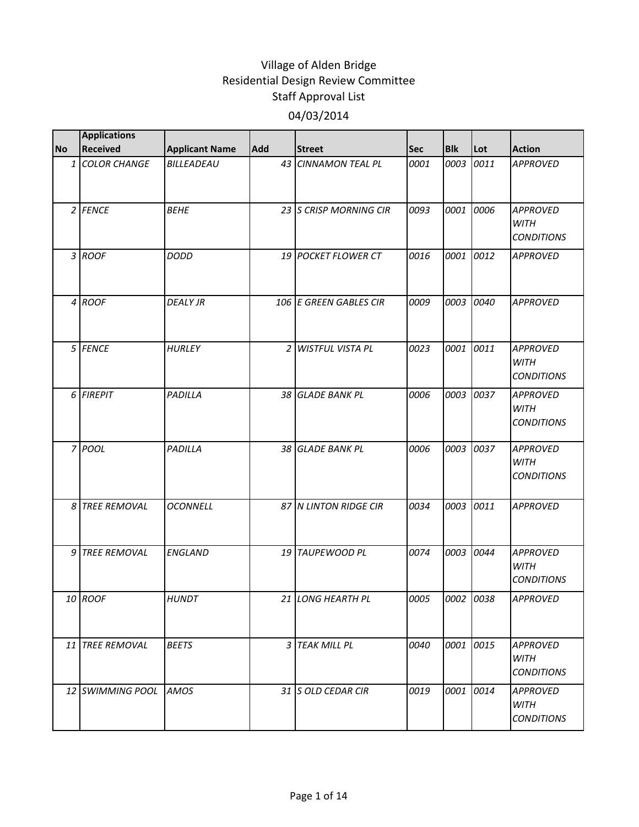|           | <b>Applications</b> |                       |                |                         |            |            |      |                                                     |
|-----------|---------------------|-----------------------|----------------|-------------------------|------------|------------|------|-----------------------------------------------------|
| <b>No</b> | <b>Received</b>     | <b>Applicant Name</b> | Add            | <b>Street</b>           | <b>Sec</b> | <b>Blk</b> | Lot  | <b>Action</b>                                       |
|           | 1 COLOR CHANGE      | BILLEADEAU            |                | 43 CINNAMON TEAL PL     | 0001       | 0003       | 0011 | <b>APPROVED</b>                                     |
|           | 2 FENCE             | <b>BEHE</b>           |                | 23 S CRISP MORNING CIR  | 0093       | 0001       | 0006 | <b>APPROVED</b><br><b>WITH</b><br><b>CONDITIONS</b> |
|           | 3 ROOF              | <b>DODD</b>           |                | 19 POCKET FLOWER CT     | 0016       | 0001       | 0012 | <b>APPROVED</b>                                     |
|           | 4 ROOF              | <b>DEALY JR</b>       |                | 106 E GREEN GABLES CIR  | 0009       | 0003       | 0040 | <b>APPROVED</b>                                     |
|           | 5 FENCE             | <b>HURLEY</b>         | $\overline{2}$ | <b>WISTFUL VISTA PL</b> | 0023       | 0001       | 0011 | <b>APPROVED</b><br>WITH<br><b>CONDITIONS</b>        |
|           | 6 FIREPIT           | PADILLA               |                | 38 GLADE BANK PL        | 0006       | 0003       | 0037 | <b>APPROVED</b><br><b>WITH</b><br><b>CONDITIONS</b> |
|           | 7 POOL              | PADILLA               |                | 38 GLADE BANK PL        | 0006       | 0003       | 0037 | <b>APPROVED</b><br><b>WITH</b><br><b>CONDITIONS</b> |
|           | 8 TREE REMOVAL      | <b>OCONNELL</b>       |                | 87 N LINTON RIDGE CIR   | 0034       | 0003       | 0011 | <b>APPROVED</b>                                     |
|           | 9 TREE REMOVAL      | <b>ENGLAND</b>        |                | 19 TAUPEWOOD PL         | 0074       | 0003       | 0044 | <b>APPROVED</b><br><b>WITH</b><br><b>CONDITIONS</b> |
|           | 10 ROOF             | <b>HUNDT</b>          |                | 21 LONG HEARTH PL       | 0005       | 0002 0038  |      | <b>APPROVED</b>                                     |
|           | 11 TREE REMOVAL     | <b>BEETS</b>          |                | 3 TEAK MILL PL          | 0040       | 0001 0015  |      | <b>APPROVED</b><br><b>WITH</b><br><b>CONDITIONS</b> |
|           | 12 SWIMMING POOL    | <b>AMOS</b>           |                | 31 S OLD CEDAR CIR      | 0019       | 0001       | 0014 | <b>APPROVED</b><br><b>WITH</b><br><b>CONDITIONS</b> |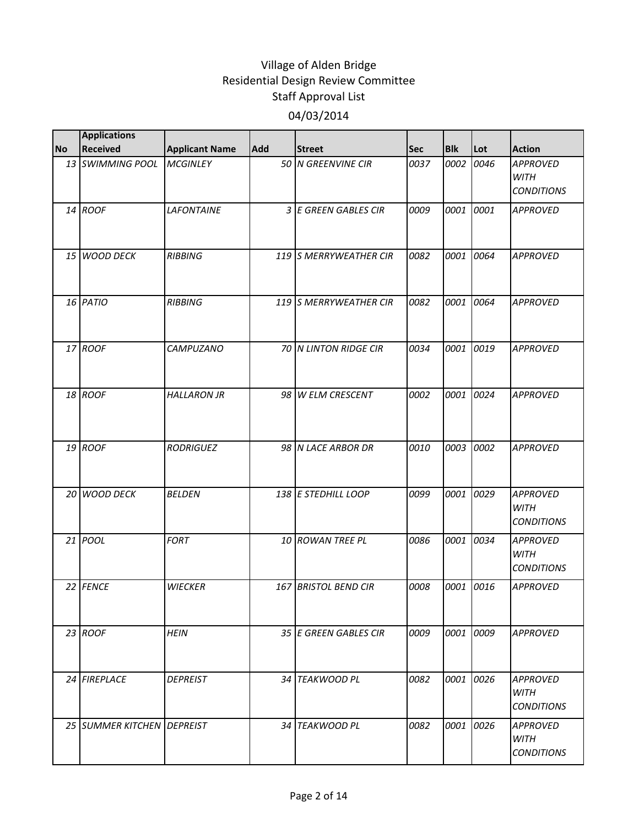|           | <b>Applications</b>        |                       |            |                        |            |            |      |                                                     |
|-----------|----------------------------|-----------------------|------------|------------------------|------------|------------|------|-----------------------------------------------------|
| <b>No</b> | <b>Received</b>            | <b>Applicant Name</b> | <b>Add</b> | <b>Street</b>          | <b>Sec</b> | <b>Blk</b> | Lot  | <b>Action</b>                                       |
|           | 13 SWIMMING POOL           | <b>MCGINLEY</b>       |            | 50 N GREENVINE CIR     | 0037       | 0002       | 0046 | <b>APPROVED</b><br><b>WITH</b><br><b>CONDITIONS</b> |
|           | 14 ROOF                    | <b>LAFONTAINE</b>     |            | 3 E GREEN GABLES CIR   | 0009       | 0001       | 0001 | <b>APPROVED</b>                                     |
|           | 15 WOOD DECK               | <b>RIBBING</b>        |            | 119 S MERRYWEATHER CIR | 0082       | 0001       | 0064 | <b>APPROVED</b>                                     |
|           | 16 PATIO                   | <b>RIBBING</b>        |            | 119 S MERRYWEATHER CIR | 0082       | 0001       | 0064 | <b>APPROVED</b>                                     |
|           | 17 ROOF                    | <b>CAMPUZANO</b>      |            | 70 N LINTON RIDGE CIR  | 0034       | 0001       | 0019 | <b>APPROVED</b>                                     |
|           | 18 ROOF                    | <b>HALLARON JR</b>    |            | 98 W ELM CRESCENT      | 0002       | 0001       | 0024 | <b>APPROVED</b>                                     |
|           | 19 ROOF                    | <b>RODRIGUEZ</b>      |            | 98 N LACE ARBOR DR     | 0010       | 0003       | 0002 | <b>APPROVED</b>                                     |
|           | 20 WOOD DECK               | <b>BELDEN</b>         |            | 138 E STEDHILL LOOP    | 0099       | 0001       | 0029 | <b>APPROVED</b><br><b>WITH</b><br><b>CONDITIONS</b> |
|           | 21 POOL                    | <b>FORT</b>           |            | 10 ROWAN TREE PL       | 0086       | 0001       | 0034 | <b>APPROVED</b><br><b>WITH</b><br><b>CONDITIONS</b> |
|           | 22 FENCE                   | <b>WIECKER</b>        |            | 167 BRISTOL BEND CIR   | 0008       | 0001       | 0016 | <b>APPROVED</b>                                     |
|           | 23 ROOF                    | <b>HEIN</b>           |            | 35 E GREEN GABLES CIR  | 0009       | 0001       | 0009 | <b>APPROVED</b>                                     |
|           | 24 FIREPLACE               | <b>DEPREIST</b>       |            | 34 TEAKWOOD PL         | 0082       | 0001       | 0026 | APPROVED<br><b>WITH</b><br><b>CONDITIONS</b>        |
|           | 25 SUMMER KITCHEN DEPREIST |                       |            | 34 TEAKWOOD PL         | 0082       | 0001       | 0026 | <b>APPROVED</b><br>WITH<br><b>CONDITIONS</b>        |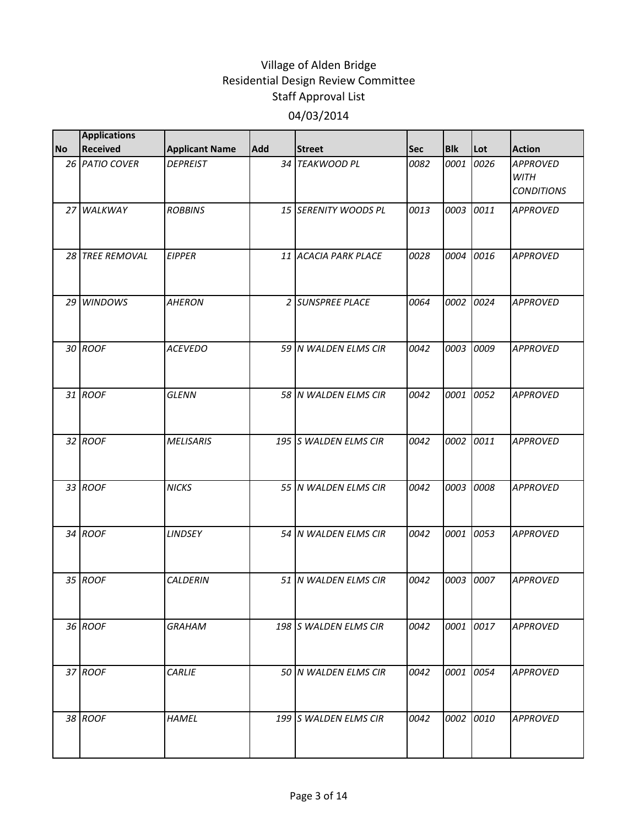|           | <b>Applications</b> |                       |            |                       |            |            |      |                                                     |
|-----------|---------------------|-----------------------|------------|-----------------------|------------|------------|------|-----------------------------------------------------|
| <b>No</b> | <b>Received</b>     | <b>Applicant Name</b> | <b>Add</b> | <b>Street</b>         | <b>Sec</b> | <b>Blk</b> | Lot  | <b>Action</b>                                       |
|           | 26 PATIO COVER      | <b>DEPREIST</b>       |            | 34 TEAKWOOD PL        | 0082       | 0001       | 0026 | <b>APPROVED</b><br><b>WITH</b><br><b>CONDITIONS</b> |
|           | 27 WALKWAY          | <b>ROBBINS</b>        |            | 15 SERENITY WOODS PL  | 0013       | 0003       | 0011 | <b>APPROVED</b>                                     |
|           | 28 TREE REMOVAL     | <b>EIPPER</b>         |            | 11 ACACIA PARK PLACE  | 0028       | 0004       | 0016 | <b>APPROVED</b>                                     |
|           | 29 WINDOWS          | <b>AHERON</b>         |            | 2 SUNSPREE PLACE      | 0064       | 0002       | 0024 | <b>APPROVED</b>                                     |
|           | 30 ROOF             | <b>ACEVEDO</b>        |            | 59 N WALDEN ELMS CIR  | 0042       | 0003       | 0009 | <b>APPROVED</b>                                     |
|           | 31 ROOF             | <b>GLENN</b>          |            | 58 N WALDEN ELMS CIR  | 0042       | 0001       | 0052 | <b>APPROVED</b>                                     |
|           | 32 ROOF             | <b>MELISARIS</b>      |            | 195 S WALDEN ELMS CIR | 0042       | 0002       | 0011 | <b>APPROVED</b>                                     |
|           | 33 ROOF             | <b>NICKS</b>          |            | 55 N WALDEN ELMS CIR  | 0042       | 0003       | 0008 | <b>APPROVED</b>                                     |
|           | 34 ROOF             | <b>LINDSEY</b>        |            | 54 N WALDEN ELMS CIR  | 0042       | 0001       | 0053 | <b>APPROVED</b>                                     |
|           | 35 ROOF             | <b>CALDERIN</b>       |            | 51 N WALDEN ELMS CIR  | 0042       | 0003       | 0007 | <b>APPROVED</b>                                     |
|           | 36 ROOF             | <b>GRAHAM</b>         |            | 198 S WALDEN ELMS CIR | 0042       | 0001       | 0017 | <b>APPROVED</b>                                     |
|           | 37 ROOF             | <b>CARLIE</b>         |            | 50 N WALDEN ELMS CIR  | 0042       | 0001       | 0054 | <b>APPROVED</b>                                     |
|           | 38 ROOF             | <b>HAMEL</b>          |            | 199 S WALDEN ELMS CIR | 0042       | 0002       | 0010 | <b>APPROVED</b>                                     |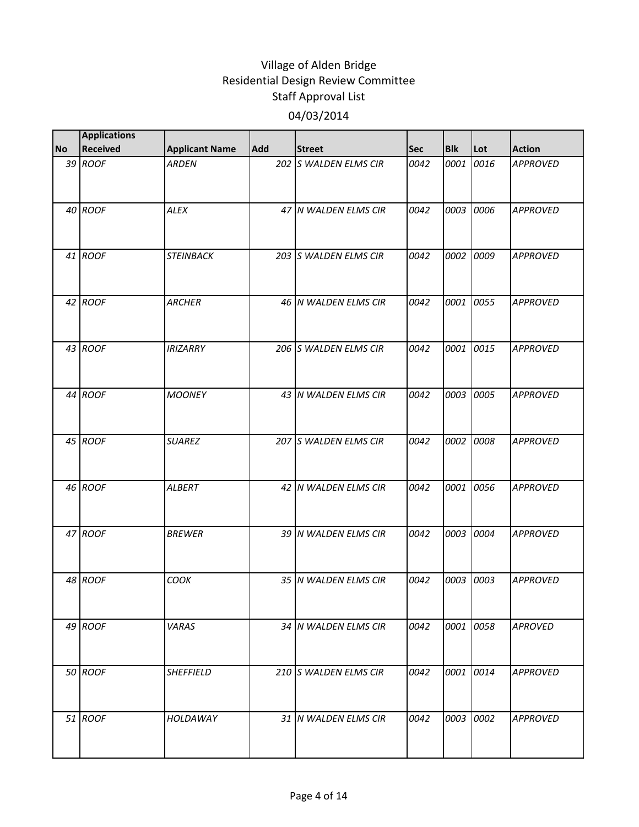|           | <b>Applications</b> |                       |            |                       |            |            |      |                 |
|-----------|---------------------|-----------------------|------------|-----------------------|------------|------------|------|-----------------|
| <b>No</b> | <b>Received</b>     | <b>Applicant Name</b> | <b>Add</b> | <b>Street</b>         | <b>Sec</b> | <b>Blk</b> | Lot  | <b>Action</b>   |
|           | 39 ROOF             | <b>ARDEN</b>          |            | 202 S WALDEN ELMS CIR | 0042       | 0001       | 0016 | <b>APPROVED</b> |
|           | 40 ROOF             | <b>ALEX</b>           |            | 47 N WALDEN ELMS CIR  | 0042       | 0003       | 0006 | <b>APPROVED</b> |
|           | 41 ROOF             | <b>STEINBACK</b>      |            | 203 S WALDEN ELMS CIR | 0042       | 0002       | 0009 | <b>APPROVED</b> |
|           | 42 ROOF             | <b>ARCHER</b>         |            | 46 N WALDEN ELMS CIR  | 0042       | 0001       | 0055 | <b>APPROVED</b> |
|           | 43 ROOF             | <b>IRIZARRY</b>       |            | 206 S WALDEN ELMS CIR | 0042       | 0001       | 0015 | <b>APPROVED</b> |
|           | 44 ROOF             | <b>MOONEY</b>         |            | 43 N WALDEN ELMS CIR  | 0042       | 0003       | 0005 | <b>APPROVED</b> |
|           | 45 ROOF             | <b>SUAREZ</b>         |            | 207 S WALDEN ELMS CIR | 0042       | 0002       | 0008 | <b>APPROVED</b> |
|           | 46 ROOF             | <b>ALBERT</b>         |            | 42 N WALDEN ELMS CIR  | 0042       | 0001       | 0056 | <b>APPROVED</b> |
|           | 47 ROOF             | <b>BREWER</b>         |            | 39 N WALDEN ELMS CIR  | 0042       | 0003       | 0004 | <b>APPROVED</b> |
|           | 48 ROOF             | COOK                  |            | 35 N WALDEN ELMS CIR  | 0042       | 0003       | 0003 | <b>APPROVED</b> |
|           | 49 ROOF             | VARAS                 |            | 34 N WALDEN ELMS CIR  | 0042       | 0001       | 0058 | <b>APROVED</b>  |
|           | 50 ROOF             | <b>SHEFFIELD</b>      |            | 210 S WALDEN ELMS CIR | 0042       | 0001       | 0014 | <b>APPROVED</b> |
|           | 51 ROOF             | HOLDAWAY              |            | 31 N WALDEN ELMS CIR  | 0042       | 0003       | 0002 | <b>APPROVED</b> |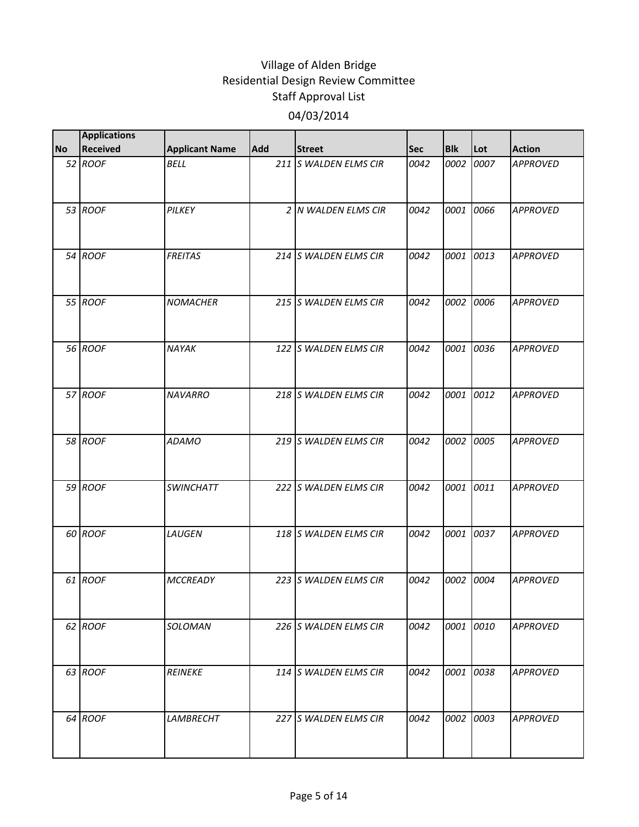|           | <b>Applications</b> |                       |     |                       |            |            |      |                 |
|-----------|---------------------|-----------------------|-----|-----------------------|------------|------------|------|-----------------|
| <b>No</b> | <b>Received</b>     | <b>Applicant Name</b> | Add | <b>Street</b>         | <b>Sec</b> | <b>Blk</b> | Lot  | <b>Action</b>   |
|           | 52 ROOF             | <b>BELL</b>           |     | 211 S WALDEN ELMS CIR | 0042       | 0002       | 0007 | <b>APPROVED</b> |
|           | 53 ROOF             | PILKEY                |     | 2 N WALDEN ELMS CIR   | 0042       | 0001       | 0066 | <b>APPROVED</b> |
|           | 54 ROOF             | <b>FREITAS</b>        |     | 214 S WALDEN ELMS CIR | 0042       | 0001       | 0013 | <b>APPROVED</b> |
|           | 55 ROOF             | <b>NOMACHER</b>       |     | 215 S WALDEN ELMS CIR | 0042       | 0002       | 0006 | <b>APPROVED</b> |
|           | 56 ROOF             | NAYAK                 |     | 122 S WALDEN ELMS CIR | 0042       | 0001       | 0036 | <b>APPROVED</b> |
|           | 57 ROOF             | <b>NAVARRO</b>        |     | 218 S WALDEN ELMS CIR | 0042       | 0001       | 0012 | <b>APPROVED</b> |
|           | 58 ROOF             | <b>ADAMO</b>          |     | 219 S WALDEN ELMS CIR | 0042       | 0002       | 0005 | <b>APPROVED</b> |
|           | 59 ROOF             | <b>SWINCHATT</b>      |     | 222 S WALDEN ELMS CIR | 0042       | 0001 0011  |      | <b>APPROVED</b> |
|           | 60 ROOF             | LAUGEN                |     | 118 S WALDEN ELMS CIR | 0042       | 0001       | 0037 | <b>APPROVED</b> |
|           | 61 ROOF             | <b>MCCREADY</b>       |     | 223 S WALDEN ELMS CIR | 0042       | 0002       | 0004 | <b>APPROVED</b> |
|           | 62 ROOF             | SOLOMAN               |     | 226 S WALDEN ELMS CIR | 0042       | 0001 0010  |      | <b>APPROVED</b> |
|           | 63 ROOF             | <b>REINEKE</b>        |     | 114 S WALDEN ELMS CIR | 0042       | 0001       | 0038 | <b>APPROVED</b> |
|           | 64 ROOF             | <b>LAMBRECHT</b>      |     | 227 S WALDEN ELMS CIR | 0042       | 0002 0003  |      | <b>APPROVED</b> |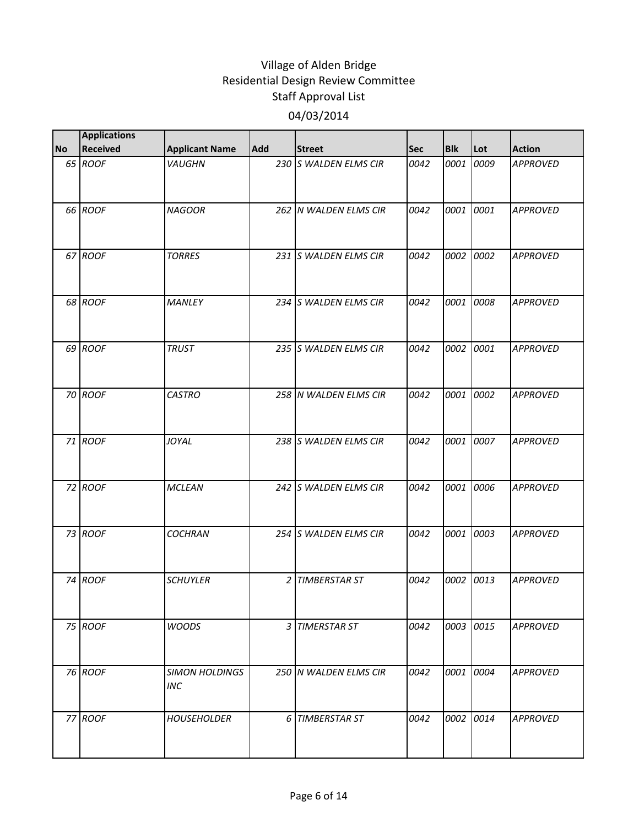|           | <b>Applications</b> |                                     |                |                       |            |            |      |                 |
|-----------|---------------------|-------------------------------------|----------------|-----------------------|------------|------------|------|-----------------|
| <b>No</b> | <b>Received</b>     | <b>Applicant Name</b>               | <b>Add</b>     | <b>Street</b>         | <b>Sec</b> | <b>Blk</b> | Lot  | <b>Action</b>   |
|           | 65 ROOF             | VAUGHN                              |                | 230 S WALDEN ELMS CIR | 0042       | 0001       | 0009 | <b>APPROVED</b> |
|           | 66 ROOF             | <b>NAGOOR</b>                       |                | 262 N WALDEN ELMS CIR | 0042       | 0001       | 0001 | <b>APPROVED</b> |
|           | 67 ROOF             | <b>TORRES</b>                       |                | 231 S WALDEN ELMS CIR | 0042       | 0002       | 0002 | <b>APPROVED</b> |
|           | 68 ROOF             | <b>MANLEY</b>                       |                | 234 S WALDEN ELMS CIR | 0042       | 0001       | 0008 | <b>APPROVED</b> |
|           | 69 ROOF             | <b>TRUST</b>                        |                | 235 S WALDEN ELMS CIR | 0042       | 0002       | 0001 | <b>APPROVED</b> |
|           | 70 ROOF             | <b>CASTRO</b>                       |                | 258 N WALDEN ELMS CIR | 0042       | 0001       | 0002 | <b>APPROVED</b> |
|           | 71 ROOF             | JOYAL                               |                | 238 S WALDEN ELMS CIR | 0042       | 0001       | 0007 | <b>APPROVED</b> |
|           | 72 ROOF             | <b>MCLEAN</b>                       |                | 242 S WALDEN ELMS CIR | 0042       | 0001       | 0006 | <b>APPROVED</b> |
|           | 73 ROOF             | <b>COCHRAN</b>                      |                | 254 S WALDEN ELMS CIR | 0042       | 0001       | 0003 | <b>APPROVED</b> |
|           | 74 ROOF             | <b>SCHUYLER</b>                     | $\overline{2}$ | <b>TIMBERSTAR ST</b>  | 0042       | 0002       | 0013 | <b>APPROVED</b> |
|           | 75 ROOF             | <b>WOODS</b>                        |                | 3 TIMERSTAR ST        | 0042       | 0003       | 0015 | <b>APPROVED</b> |
|           | 76 ROOF             | <b>SIMON HOLDINGS</b><br><b>INC</b> |                | 250 N WALDEN ELMS CIR | 0042       | 0001       | 0004 | <b>APPROVED</b> |
|           | 77 ROOF             | <b>HOUSEHOLDER</b>                  |                | 6 TIMBERSTAR ST       | 0042       | 0002       | 0014 | <b>APPROVED</b> |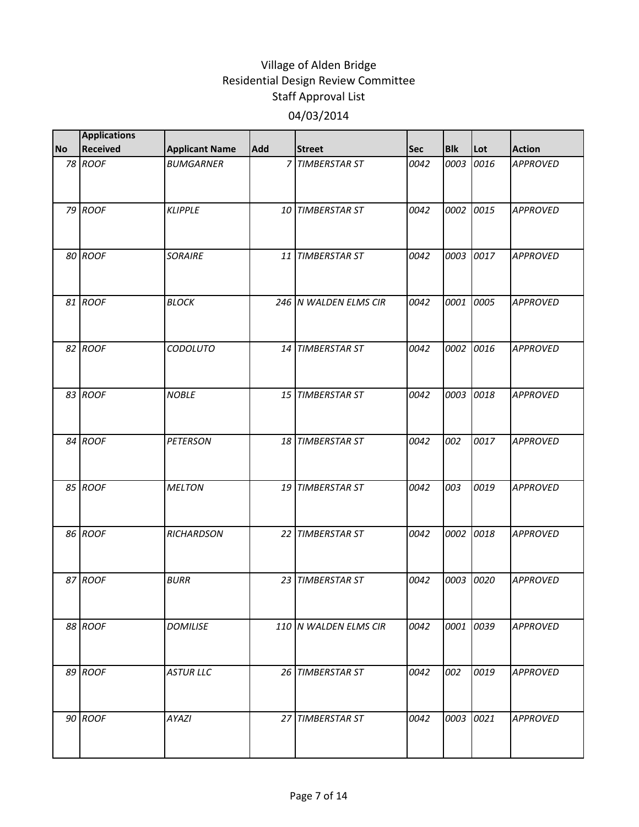|           | <b>Applications</b> |                       |     |                       |            |            |      |                 |
|-----------|---------------------|-----------------------|-----|-----------------------|------------|------------|------|-----------------|
| <b>No</b> | <b>Received</b>     | <b>Applicant Name</b> | Add | <b>Street</b>         | <b>Sec</b> | <b>Blk</b> | Lot  | <b>Action</b>   |
|           | 78 ROOF             | <b>BUMGARNER</b>      |     | 7 TIMBERSTAR ST       | 0042       | 0003       | 0016 | <b>APPROVED</b> |
|           | 79 ROOF             | <b>KLIPPLE</b>        |     | 10 TIMBERSTAR ST      | 0042       | 0002       | 0015 | <b>APPROVED</b> |
|           | 80 ROOF             | <b>SORAIRE</b>        |     | 11 TIMBERSTAR ST      | 0042       | 0003       | 0017 | <b>APPROVED</b> |
|           | 81 ROOF             | <b>BLOCK</b>          |     | 246 N WALDEN ELMS CIR | 0042       | 0001       | 0005 | <b>APPROVED</b> |
|           | 82 ROOF             | CODOLUTO              |     | 14 TIMBERSTAR ST      | 0042       | 0002       | 0016 | <b>APPROVED</b> |
|           | 83 ROOF             | <b>NOBLE</b>          |     | 15 TIMBERSTAR ST      | 0042       | 0003       | 0018 | <b>APPROVED</b> |
|           | 84 ROOF             | <b>PETERSON</b>       |     | 18 TIMBERSTAR ST      | 0042       | 002        | 0017 | <b>APPROVED</b> |
|           | 85 ROOF             | <b>MELTON</b>         |     | 19 TIMBERSTAR ST      | 0042       | 003        | 0019 | <b>APPROVED</b> |
|           | 86 ROOF             | <b>RICHARDSON</b>     |     | 22 TIMBERSTAR ST      | 0042       | 0002       | 0018 | <b>APPROVED</b> |
|           | 87 ROOF             | <b>BURR</b>           |     | 23 TIMBERSTAR ST      | 0042       | 0003       | 0020 | <b>APPROVED</b> |
|           | 88 ROOF             | <b>DOMILISE</b>       |     | 110 N WALDEN ELMS CIR | 0042       | 0001       | 0039 | <b>APPROVED</b> |
|           | 89 ROOF             | <b>ASTUR LLC</b>      |     | 26 TIMBERSTAR ST      | 0042       | 002        | 0019 | <b>APPROVED</b> |
|           | 90 ROOF             | AYAZI                 |     | 27 TIMBERSTAR ST      | 0042       | 0003       | 0021 | <b>APPROVED</b> |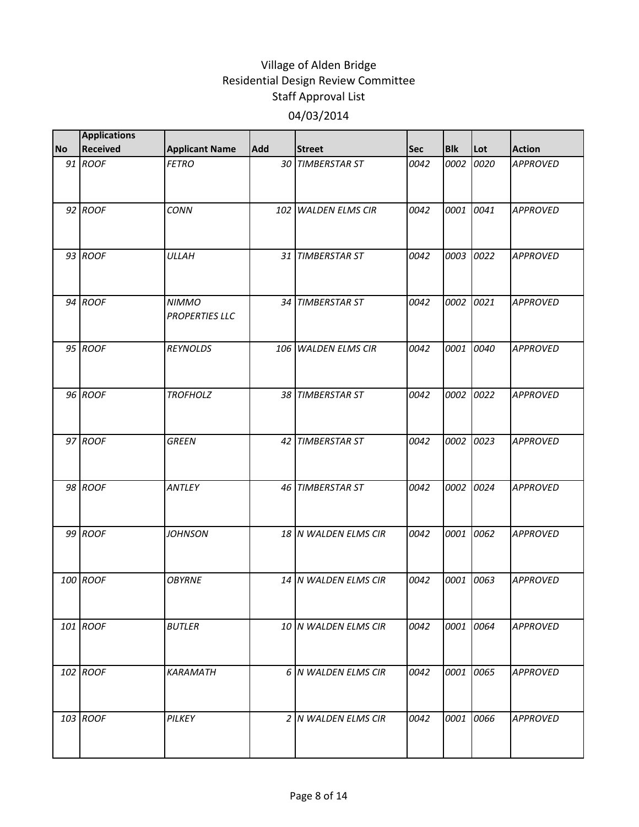|           | <b>Applications</b> |                                       |     |                      |            |            |      |                 |
|-----------|---------------------|---------------------------------------|-----|----------------------|------------|------------|------|-----------------|
| <b>No</b> | <b>Received</b>     | <b>Applicant Name</b>                 | Add | <b>Street</b>        | <b>Sec</b> | <b>Blk</b> | Lot  | <b>Action</b>   |
|           | 91 ROOF             | <b>FETRO</b>                          |     | 30 TIMBERSTAR ST     | 0042       | 0002       | 0020 | <b>APPROVED</b> |
|           | 92 ROOF             | <b>CONN</b>                           |     | 102 WALDEN ELMS CIR  | 0042       | 0001       | 0041 | <b>APPROVED</b> |
|           | 93 ROOF             | <b>ULLAH</b>                          |     | 31 TIMBERSTAR ST     | 0042       | 0003       | 0022 | <b>APPROVED</b> |
|           | 94 ROOF             | <b>NIMMO</b><br><b>PROPERTIES LLC</b> |     | 34 TIMBERSTAR ST     | 0042       | 0002       | 0021 | <b>APPROVED</b> |
|           | 95 ROOF             | <b>REYNOLDS</b>                       |     | 106 WALDEN ELMS CIR  | 0042       | 0001       | 0040 | <b>APPROVED</b> |
|           | 96 ROOF             | <b>TROFHOLZ</b>                       |     | 38 TIMBERSTAR ST     | 0042       | 0002       | 0022 | <b>APPROVED</b> |
|           | 97 ROOF             | <b>GREEN</b>                          |     | 42 TIMBERSTAR ST     | 0042       | 0002       | 0023 | <b>APPROVED</b> |
|           | 98 ROOF             | ANTLEY                                |     | 46 TIMBERSTAR ST     | 0042       | 0002       | 0024 | <b>APPROVED</b> |
|           | 99 ROOF             | <b>JOHNSON</b>                        |     | 18 N WALDEN ELMS CIR | 0042       | 0001       | 0062 | <b>APPROVED</b> |
|           | 100 ROOF            | <b>OBYRNE</b>                         |     | 14 N WALDEN ELMS CIR | 0042       | 0001       | 0063 | <b>APPROVED</b> |
|           | 101 ROOF            | <b>BUTLER</b>                         |     | 10 N WALDEN ELMS CIR | 0042       | 0001       | 0064 | <b>APPROVED</b> |
|           | 102 ROOF            | <b>KARAMATH</b>                       |     | 6 N WALDEN ELMS CIR  | 0042       | 0001       | 0065 | <b>APPROVED</b> |
|           | 103 ROOF            | PILKEY                                |     | 2 N WALDEN ELMS CIR  | 0042       | 0001       | 0066 | <b>APPROVED</b> |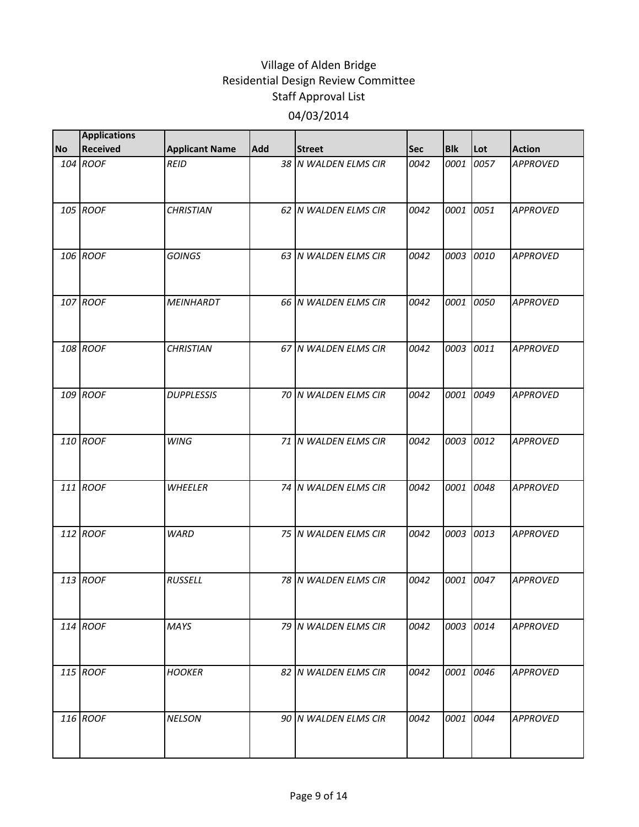| <b>No</b> | <b>Applications</b><br><b>Received</b> | <b>Applicant Name</b> | Add | <b>Street</b>         | <b>Sec</b> | <b>Blk</b> | Lot  | <b>Action</b>   |
|-----------|----------------------------------------|-----------------------|-----|-----------------------|------------|------------|------|-----------------|
|           | 104 ROOF                               | <b>REID</b>           |     | 38 N WALDEN ELMS CIR  | 0042       | 0001       | 0057 | <b>APPROVED</b> |
|           |                                        |                       |     |                       |            |            |      |                 |
|           | 105 ROOF                               | <b>CHRISTIAN</b>      |     | 62 IN WALDEN ELMS CIR | 0042       | 0001       | 0051 | <b>APPROVED</b> |
|           | 106 ROOF                               | <b>GOINGS</b>         |     | 63 N WALDEN ELMS CIR  | 0042       | 0003       | 0010 | <b>APPROVED</b> |
|           | 107 ROOF                               | <b>MEINHARDT</b>      |     | 66 N WALDEN ELMS CIR  | 0042       | 0001       | 0050 | <b>APPROVED</b> |
|           | 108 ROOF                               | <b>CHRISTIAN</b>      |     | 67 N WALDEN ELMS CIR  | 0042       | 0003 0011  |      | <b>APPROVED</b> |
|           | 109 ROOF                               | <b>DUPPLESSIS</b>     |     | 70 N WALDEN ELMS CIR  | 0042       | 0001       | 0049 | <b>APPROVED</b> |
|           | 110 ROOF                               | <b>WING</b>           |     | 71 N WALDEN ELMS CIR  | 0042       | 0003       | 0012 | <b>APPROVED</b> |
|           | 111 ROOF                               | <b>WHEELER</b>        |     | 74 N WALDEN ELMS CIR  | 0042       | 0001       | 0048 | <b>APPROVED</b> |
|           | 112 ROOF                               | <b>WARD</b>           |     | 75 N WALDEN ELMS CIR  | 0042       | 0003       | 0013 | <b>APPROVED</b> |
|           | 113 ROOF                               | <b>RUSSELL</b>        |     | 78 N WALDEN ELMS CIR  | 0042       | 0001       | 0047 | <b>APPROVED</b> |
|           | 114 ROOF                               | <b>MAYS</b>           |     | 79 N WALDEN ELMS CIR  | 0042       | 0003 0014  |      | <b>APPROVED</b> |
|           | 115 ROOF                               | <b>HOOKER</b>         |     | 82 N WALDEN ELMS CIR  | 0042       | 0001       | 0046 | <b>APPROVED</b> |
|           | 116 ROOF                               | <b>NELSON</b>         |     | 90 N WALDEN ELMS CIR  | 0042       | 0001 0044  |      | <b>APPROVED</b> |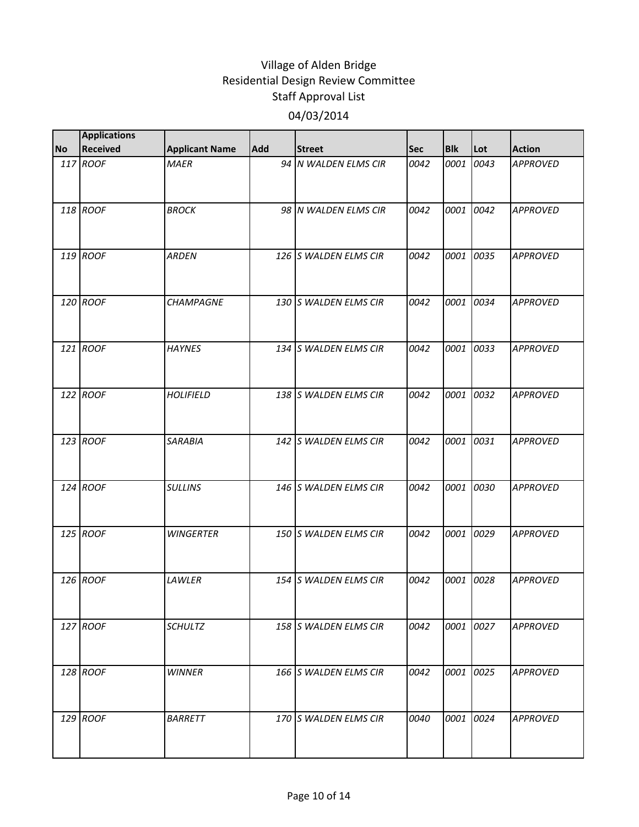| <b>No</b> | <b>Applications</b><br><b>Received</b> | <b>Applicant Name</b> | Add | <b>Street</b>         | <b>Sec</b> | <b>Blk</b> | Lot       | <b>Action</b>   |
|-----------|----------------------------------------|-----------------------|-----|-----------------------|------------|------------|-----------|-----------------|
|           | 117 ROOF                               | <b>MAER</b>           |     | 94 N WALDEN ELMS CIR  | 0042       | 0001       | 0043      | <b>APPROVED</b> |
|           |                                        |                       |     |                       |            |            |           |                 |
|           | 118 ROOF                               | <b>BROCK</b>          |     | 98 IN WALDEN ELMS CIR | 0042       | 0001       | 0042      | <b>APPROVED</b> |
|           | 119 ROOF                               | <b>ARDEN</b>          |     | 126 S WALDEN ELMS CIR | 0042       | 0001       | 0035      | <b>APPROVED</b> |
|           | 120 ROOF                               | <b>CHAMPAGNE</b>      |     | 130 S WALDEN ELMS CIR | 0042       | 0001       | 0034      | <b>APPROVED</b> |
|           | 121 ROOF                               | <b>HAYNES</b>         |     | 134 S WALDEN ELMS CIR | 0042       | 0001       | 0033      | <b>APPROVED</b> |
|           | 122 ROOF                               | <b>HOLIFIELD</b>      |     | 138 S WALDEN ELMS CIR | 0042       | 0001       | 0032      | <b>APPROVED</b> |
|           | 123 ROOF                               | <b>SARABIA</b>        |     | 142 S WALDEN ELMS CIR | 0042       | 0001       | 0031      | <b>APPROVED</b> |
|           | 124 ROOF                               | <b>SULLINS</b>        |     | 146 S WALDEN ELMS CIR | 0042       | 0001       | 0030      | <b>APPROVED</b> |
|           | 125 ROOF                               | <b>WINGERTER</b>      |     | 150 S WALDEN ELMS CIR | 0042       | 0001       | 0029      | <b>APPROVED</b> |
|           | 126 ROOF                               | LAWLER                |     | 154 S WALDEN ELMS CIR | 0042       | 0001       | 0028      | <b>APPROVED</b> |
|           | 127 ROOF                               | <b>SCHULTZ</b>        |     | 158 S WALDEN ELMS CIR | 0042       |            | 0001 0027 | <b>APPROVED</b> |
|           | 128 ROOF                               | <b>WINNER</b>         |     | 166 S WALDEN ELMS CIR | 0042       | 0001       | 0025      | <b>APPROVED</b> |
|           | 129 ROOF                               | <b>BARRETT</b>        |     | 170 S WALDEN ELMS CIR | 0040       | 0001 0024  |           | <b>APPROVED</b> |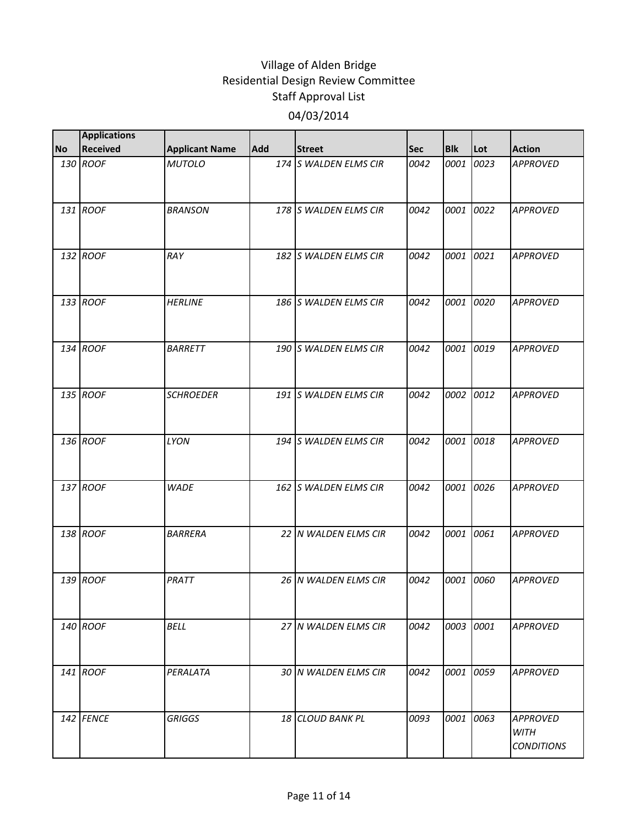| <b>No</b> | <b>Applications</b><br><b>Received</b> | <b>Applicant Name</b> | <b>Add</b> | <b>Street</b>         | <b>Sec</b> | <b>Blk</b> | Lot  | <b>Action</b>                                       |
|-----------|----------------------------------------|-----------------------|------------|-----------------------|------------|------------|------|-----------------------------------------------------|
|           | 130 ROOF                               | <b>MUTOLO</b>         |            | 174 S WALDEN ELMS CIR | 0042       | 0001       | 0023 | <b>APPROVED</b>                                     |
|           | 131 ROOF                               | <b>BRANSON</b>        |            | 178 S WALDEN ELMS CIR | 0042       | 0001       | 0022 | <b>APPROVED</b>                                     |
|           | 132 ROOF                               | RAY                   |            | 182 S WALDEN ELMS CIR | 0042       | 0001       | 0021 | <b>APPROVED</b>                                     |
|           | 133 ROOF                               | <b>HERLINE</b>        |            | 186 S WALDEN ELMS CIR | 0042       | 0001       | 0020 | <b>APPROVED</b>                                     |
|           | 134 ROOF                               | <b>BARRETT</b>        |            | 190 S WALDEN ELMS CIR | 0042       | 0001       | 0019 | <b>APPROVED</b>                                     |
|           | 135 ROOF                               | <b>SCHROEDER</b>      |            | 191 S WALDEN ELMS CIR | 0042       | 0002       | 0012 | <b>APPROVED</b>                                     |
|           | 136 ROOF                               | <b>LYON</b>           |            | 194 S WALDEN ELMS CIR | 0042       | 0001       | 0018 | <b>APPROVED</b>                                     |
|           | 137 ROOF                               | <b>WADE</b>           |            | 162 S WALDEN ELMS CIR | 0042       | 0001       | 0026 | <b>APPROVED</b>                                     |
|           | 138 ROOF                               | <b>BARRERA</b>        |            | 22 N WALDEN ELMS CIR  | 0042       | 0001       | 0061 | <b>APPROVED</b>                                     |
|           | 139 ROOF                               | PRATT                 |            | 26 N WALDEN ELMS CIR  | 0042       | 0001       | 0060 | <b>APPROVED</b>                                     |
|           | 140 ROOF                               | <b>BELL</b>           |            | 27 N WALDEN ELMS CIR  | 0042       | 0003 0001  |      | <b>APPROVED</b>                                     |
|           | 141 ROOF                               | PERALATA              |            | 30 N WALDEN ELMS CIR  | 0042       | 0001       | 0059 | <b>APPROVED</b>                                     |
|           | 142 FENCE                              | <b>GRIGGS</b>         |            | 18 CLOUD BANK PL      | 0093       | 0001 0063  |      | <b>APPROVED</b><br><b>WITH</b><br><b>CONDITIONS</b> |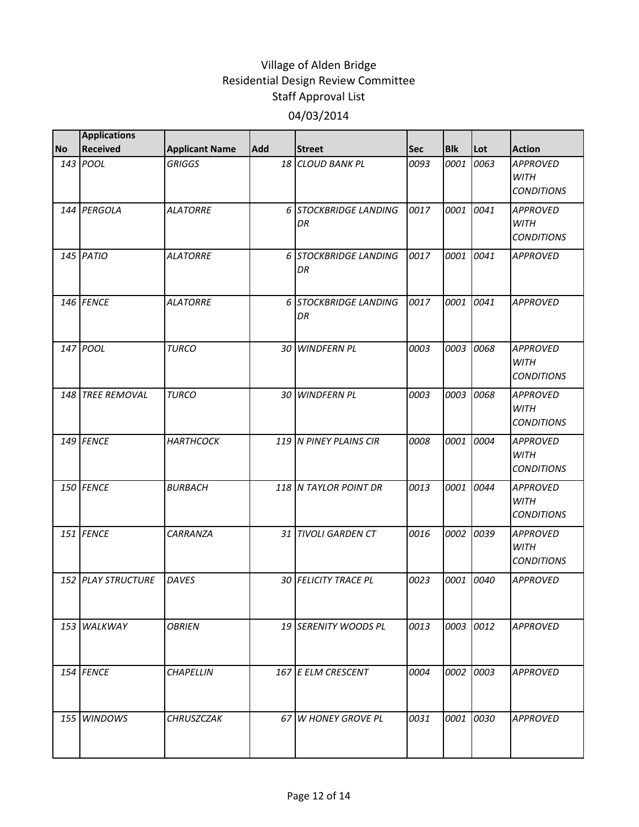|           | <b>Applications</b> |                       |            |                             |            |            |      |                                                     |
|-----------|---------------------|-----------------------|------------|-----------------------------|------------|------------|------|-----------------------------------------------------|
| <b>No</b> | <b>Received</b>     | <b>Applicant Name</b> | <b>Add</b> | <b>Street</b>               | <b>Sec</b> | <b>Blk</b> | Lot  | <b>Action</b>                                       |
|           | 143 POOL            | <b>GRIGGS</b>         |            | 18 CLOUD BANK PL            | 0093       | 0001       | 0063 | <b>APPROVED</b><br><b>WITH</b><br><b>CONDITIONS</b> |
|           | 144 PERGOLA         | <b>ALATORRE</b>       |            | 6 STOCKBRIDGE LANDING<br>DR | 0017       | 0001       | 0041 | <b>APPROVED</b><br><b>WITH</b><br><b>CONDITIONS</b> |
|           | 145 PATIO           | <b>ALATORRE</b>       |            | 6 STOCKBRIDGE LANDING<br>DR | 0017       | 0001       | 0041 | <b>APPROVED</b>                                     |
|           | 146 FENCE           | <b>ALATORRE</b>       |            | 6 STOCKBRIDGE LANDING<br>DR | 0017       | 0001       | 0041 | <b>APPROVED</b>                                     |
|           | 147 POOL            | <b>TURCO</b>          |            | 30 WINDFERN PL              | 0003       | 0003       | 0068 | <b>APPROVED</b><br><b>WITH</b><br><b>CONDITIONS</b> |
|           | 148 TREE REMOVAL    | <b>TURCO</b>          |            | 30 WINDFERN PL              | 0003       | 0003       | 0068 | <b>APPROVED</b><br><b>WITH</b><br><b>CONDITIONS</b> |
|           | 149 FENCE           | <b>HARTHCOCK</b>      |            | 119 N PINEY PLAINS CIR      | 0008       | 0001       | 0004 | <b>APPROVED</b><br><b>WITH</b><br><b>CONDITIONS</b> |
|           | 150 FENCE           | <b>BURBACH</b>        |            | 118 IN TAYLOR POINT DR      | 0013       | 0001       | 0044 | <b>APPROVED</b><br><b>WITH</b><br><b>CONDITIONS</b> |
|           | 151 FENCE           | CARRANZA              |            | 31 TIVOLI GARDEN CT         | 0016       | 0002       | 0039 | <b>APPROVED</b><br><b>WITH</b><br><b>CONDITIONS</b> |
|           | 152 PLAY STRUCTURE  | <b>DAVES</b>          |            | <b>30 FELICITY TRACE PL</b> | 0023       | 0001       | 0040 | <b>APPROVED</b>                                     |
|           | 153 WALKWAY         | <b>OBRIEN</b>         |            | 19 SERENITY WOODS PL        | 0013       | 0003       | 0012 | <b>APPROVED</b>                                     |
|           | 154 FENCE           | <b>CHAPELLIN</b>      |            | 167 E ELM CRESCENT          | 0004       | 0002       | 0003 | <b>APPROVED</b>                                     |
|           | 155 WINDOWS         | <b>CHRUSZCZAK</b>     |            | 67 W HONEY GROVE PL         | 0031       | 0001       | 0030 | <b>APPROVED</b>                                     |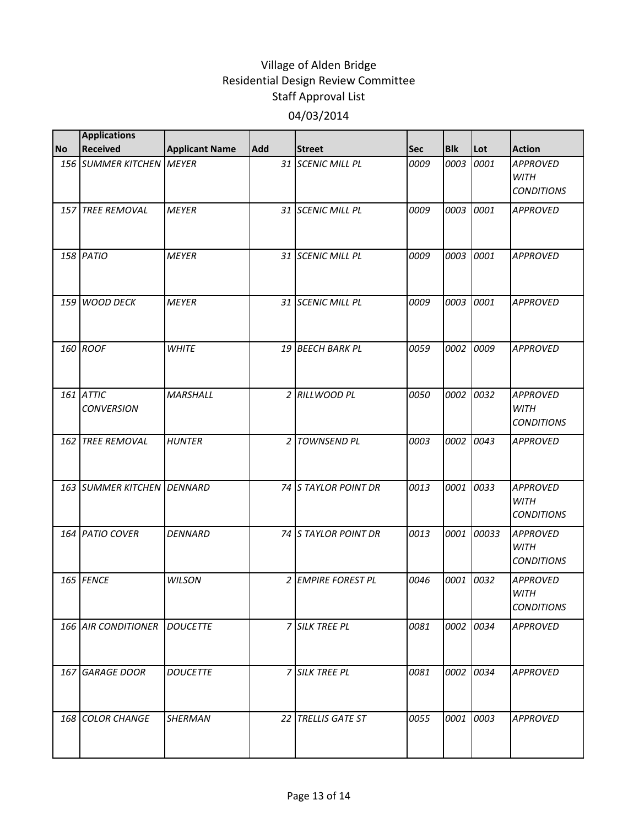|           | <b>Applications</b>            |                       |            |                       |            |            |       |                                                     |
|-----------|--------------------------------|-----------------------|------------|-----------------------|------------|------------|-------|-----------------------------------------------------|
| <b>No</b> | <b>Received</b>                | <b>Applicant Name</b> | <b>Add</b> | <b>Street</b>         | <b>Sec</b> | <b>Blk</b> | Lot   | <b>Action</b>                                       |
|           | 156 SUMMER KITCHEN MEYER       |                       |            | 31 SCENIC MILL PL     | 0009       | 0003       | 0001  | <b>APPROVED</b><br><b>WITH</b><br><b>CONDITIONS</b> |
|           | 157 TREE REMOVAL               | <b>MEYER</b>          |            | 31 SCENIC MILL PL     | 0009       | 0003       | 0001  | <b>APPROVED</b>                                     |
|           | 158 PATIO                      | <b>MEYER</b>          |            | 31 SCENIC MILL PL     | 0009       | 0003       | 0001  | <b>APPROVED</b>                                     |
|           | 159 WOOD DECK                  | <b>MEYER</b>          |            | 31 SCENIC MILL PL     | 0009       | 0003       | 0001  | <b>APPROVED</b>                                     |
|           | 160 ROOF                       | <b>WHITE</b>          |            | 19 BEECH BARK PL      | 0059       | 0002       | 0009  | <b>APPROVED</b>                                     |
|           | 161 ATTIC<br><b>CONVERSION</b> | <b>MARSHALL</b>       |            | 2 RILLWOOD PL         | 0050       | 0002       | 0032  | <b>APPROVED</b><br><b>WITH</b><br><b>CONDITIONS</b> |
|           | 162 TREE REMOVAL               | <b>HUNTER</b>         |            | 2 TOWNSEND PL         | 0003       | 0002       | 0043  | <b>APPROVED</b>                                     |
|           | 163 SUMMER KITCHEN DENNARD     |                       |            | 74 S TAYLOR POINT DR  | 0013       | 0001       | 0033  | <b>APPROVED</b><br><b>WITH</b><br><b>CONDITIONS</b> |
|           | 164 PATIO COVER                | <b>DENNARD</b>        |            | 74 S TAYLOR POINT DR  | 0013       | 0001       | 00033 | <b>APPROVED</b><br><b>WITH</b><br><b>CONDITIONS</b> |
|           | 165 FENCE                      | <b>WILSON</b>         |            | 2 EMPIRE FOREST PL    | 0046       | 0001       | 0032  | <b>APPROVED</b><br><b>WITH</b><br><b>CONDITIONS</b> |
|           | <b>166 AIR CONDITIONER</b>     | <b>DOUCETTE</b>       |            | 7 SILK TREE PL        | 0081       | 0002 0034  |       | <b>APPROVED</b>                                     |
|           | 167 GARAGE DOOR                | <b>DOUCETTE</b>       |            | <b>7 SILK TREE PL</b> | 0081       | 0002       | 0034  | <b>APPROVED</b>                                     |
|           | 168 COLOR CHANGE               | <b>SHERMAN</b>        |            | 22 TRELLIS GATE ST    | 0055       | 0001       | 0003  | <b>APPROVED</b>                                     |